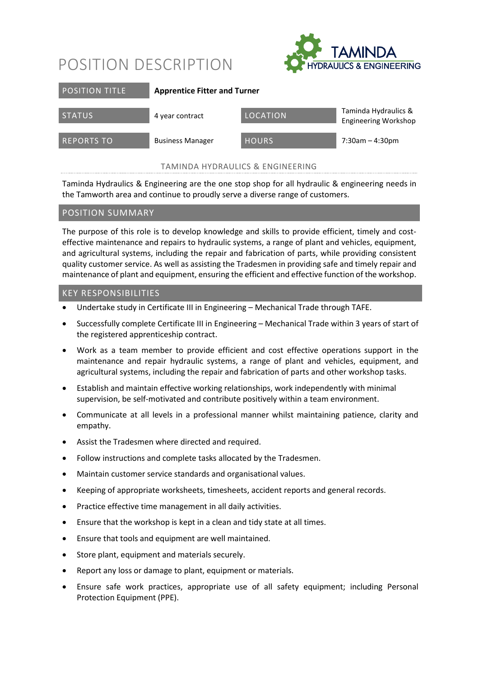## POSITION DESCRIPTION



| <b>POSITION TITLE</b> | <b>Apprentice Fitter and Turner</b> |              |                                                     |
|-----------------------|-------------------------------------|--------------|-----------------------------------------------------|
| <b>STATUS</b>         | 4 year contract                     | LOCATION     | Taminda Hydraulics &<br><b>Engineering Workshop</b> |
| <b>REPORTS TO</b>     | <b>Business Manager</b>             | <b>HOURS</b> | $7:30am - 4:30pm$                                   |

TAMINDA HYDRAULICS & ENGINEERING

Taminda Hydraulics & Engineering are the one stop shop for all hydraulic & engineering needs in the Tamworth area and continue to proudly serve a diverse range of customers.

### POSITION SUMMARY

The purpose of this role is to develop knowledge and skills to provide efficient, timely and costeffective maintenance and repairs to hydraulic systems, a range of plant and vehicles, equipment, and agricultural systems, including the repair and fabrication of parts, while providing consistent quality customer service. As well as assisting the Tradesmen in providing safe and timely repair and maintenance of plant and equipment, ensuring the efficient and effective function of the workshop.

### KEY RESPONSIBILITIES

- Undertake study in Certificate III in Engineering Mechanical Trade through TAFE.
- Successfully complete Certificate III in Engineering Mechanical Trade within 3 years of start of the registered apprenticeship contract.
- Work as a team member to provide efficient and cost effective operations support in the maintenance and repair hydraulic systems, a range of plant and vehicles, equipment, and agricultural systems, including the repair and fabrication of parts and other workshop tasks.
- Establish and maintain effective working relationships, work independently with minimal supervision, be self-motivated and contribute positively within a team environment.
- Communicate at all levels in a professional manner whilst maintaining patience, clarity and empathy.
- Assist the Tradesmen where directed and required.
- Follow instructions and complete tasks allocated by the Tradesmen.
- Maintain customer service standards and organisational values.
- Keeping of appropriate worksheets, timesheets, accident reports and general records.
- Practice effective time management in all daily activities.
- Ensure that the workshop is kept in a clean and tidy state at all times.
- Ensure that tools and equipment are well maintained.
- Store plant, equipment and materials securely.
- Report any loss or damage to plant, equipment or materials.
- Ensure safe work practices, appropriate use of all safety equipment; including Personal Protection Equipment (PPE).